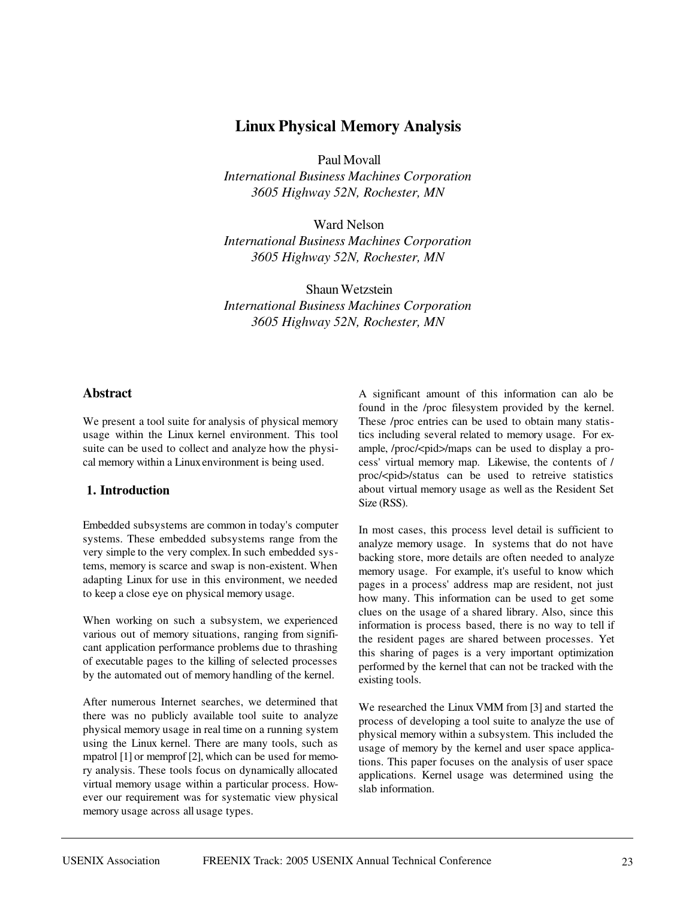# **Linux Physical Memory Analysis**

Paul Movall

*International Business Machines Corporation 3605 Highway 52N, Rochester, MN*

Ward Nelson *International Business Machines Corporation 3605 Highway 52N, Rochester, MN*

Shaun Wetzstein *International Business Machines Corporation 3605 Highway 52N, Rochester, MN*

## **Abstract**

We present a tool suite for analysis of physical memory usage within the Linux kernel environment. This tool suite can be used to collect and analyze how the physical memory within a Linuxenvironment is being used.

# 1. Introduction

Embedded subsystems are common in today's computer systems. These embedded subsystems range from the very simple to the very complex. In such embedded systems, memory is scarce and swap is non-existent. When adapting Linux for use in this environment, we needed to keep a close eye on physical memory usage.

When working on such a subsystem, we experienced various out of memory situations, ranging from significant application performance problems due to thrashing of executable pages to the killing of selected processes by the automated out of memory handling of the kernel.

After numerous Internet searches, we determined that there was no publicly available tool suite to analyze physical memory usage in real time on a running system using the Linux kernel. There are many tools, such as mpatrol [1] or memprof [2], which can be used for memory analysis. These tools focus on dynamically allocated virtual memory usage within a particular process. However our requirement was for systematic view physical memory usage across all usage types.

A significant amount of this information can alo be found in the /proc filesystem provided by the kernel. These /proc entries can be used to obtain many statistics including several related to memory usage. For example, /proc/<pid>/maps can be used to display a process' virtual memory map. Likewise, the contents of / proc/<pid>/status can be used to retreive statistics about virtual memory usage as well as the Resident Set Size (RSS).

In most cases, this process level detail is sufficient to analyze memory usage. In systems that do not have backing store, more details are often needed to analyze memory usage. For example, it's useful to know which pages in a process' address map are resident, not just how many. This information can be used to get some clues on the usage of a shared library. Also, since this information is process based, there is no way to tell if the resident pages are shared between processes. Yet this sharing of pages is a very important optimization performed by the kernel that can not be tracked with the existing tools.

We researched the Linux VMM from [3] and started the process of developing a tool suite to analyze the use of physical memory within a subsystem. This included the usage of memory by the kernel and user space applications. This paper focuses on the analysis of user space applications. Kernel usage was determined using the slab information.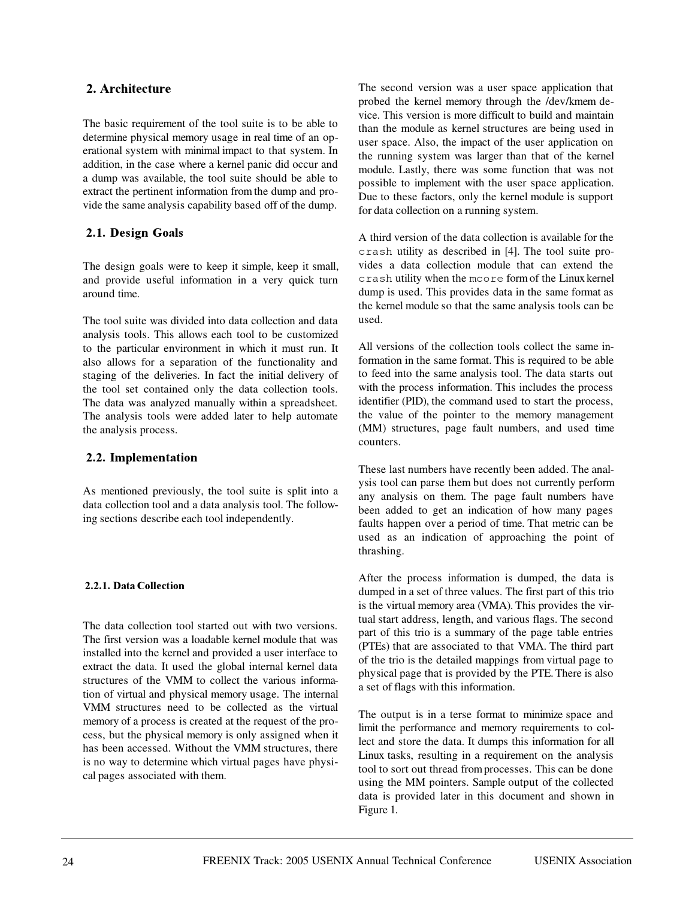## 

The basic requirement of the tool suite is to be able to determine physical memory usage in real time of an operational system with minimal impact to that system. In addition, in the case where a kernel panic did occur and a dump was available, the tool suite should be able to extract the pertinent information from the dump and provide the same analysis capability based off of the dump.

# 2.1. Design Goals

The design goals were to keep it simple, keep it small, and provide useful information in a very quick turn around time.

The tool suite was divided into data collection and data analysis tools. This allows each tool to be customized to the particular environment in which it must run. It also allows for a separation of the functionality and staging of the deliveries. In fact the initial delivery of the tool set contained only the data collection tools. The data was analyzed manually within a spreadsheet. The analysis tools were added later to help automate the analysis process.

## 2.2. Implementation

As mentioned previously, the tool suite is split into a data collection tool and a data analysis tool. The following sections describe each tool independently.

## 2.2.1. Data Collection

The data collection tool started out with two versions. The first version was a loadable kernel module that was installed into the kernel and provided a user interface to extract the data. It used the global internal kernel data structures of the VMM to collect the various information of virtual and physical memory usage. The internal VMM structures need to be collected as the virtual memory of a process is created at the request of the process, but the physical memory is only assigned when it has been accessed. Without the VMM structures, there is no way to determine which virtual pages have physical pages associated with them.

The second version was a user space application that probed the kernel memory through the /dev/kmem device. This version is more difficult to build and maintain than the module as kernel structures are being used in user space. Also, the impact of the user application on the running system was larger than that of the kernel module. Lastly, there was some function that was not possible to implement with the user space application. Due to these factors, only the kernel module is support for data collection on a running system.

A third version of the data collection is available for the crash utility as described in [4]. The tool suite provides a data collection module that can extend the crash utility when the mcore form of the Linux kernel dump is used. This provides data in the same format as the kernel module so that the same analysis tools can be used.

All versions of the collection tools collect the same information in the same format. This is required to be able to feed into the same analysis tool. The data starts out with the process information. This includes the process identifier (PID), the command used to start the process, the value of the pointer to the memory management (MM) structures, page fault numbers, and used time counters.

These last numbers have recently been added. The analysis tool can parse them but does not currently perform any analysis on them. The page fault numbers have been added to get an indication of how many pages faults happen over a period of time. That metric can be used as an indication of approaching the point of thrashing.

After the process information is dumped, the data is dumped in a set of three values. The first part of this trio is the virtual memory area (VMA). This provides the virtual start address, length, and various flags. The second part of this trio is a summary of the page table entries (PTEs) that are associated to that VMA. The third part of the trio is the detailed mappings from virtual page to physical page that is provided by the PTE. There is also a set of flags with this information.

The output is in a terse format to minimize space and limit the performance and memory requirements to collect and store the data. It dumps this information for all Linux tasks, resulting in a requirement on the analysis tool to sort out thread from processes. This can be done using the MM pointers. Sample output of the collected data is provided later in this document and shown in Figure 1.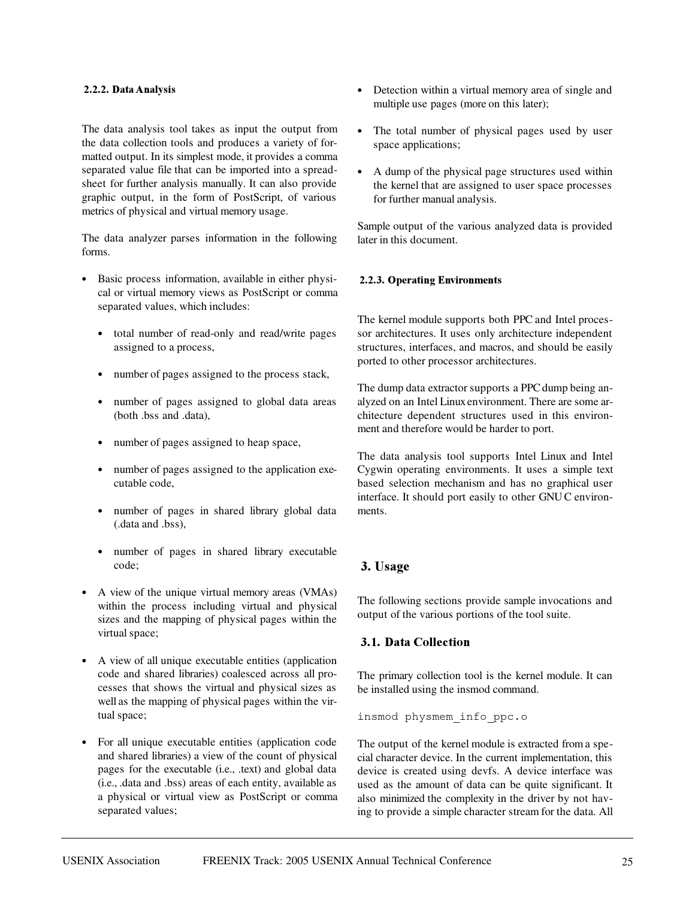#### 2.2.2. Data Analysis

The data analysis tool takes as input the output from the data collection tools and produces a variety of formatted output. In its simplest mode, it provides a comma separated value file that can be imported into a spreadsheet for further analysis manually. It can also provide graphic output, in the form of PostScript, of various metrics of physical and virtual memory usage.

The data analyzer parses information in the following forms.

- Basic process information, available in either physical or virtual memory views as PostScript or comma separated values, which includes:
	- total number of read-only and read/write pages assigned to a process,
	- number of pages assigned to the process stack,
	- number of pages assigned to global data areas (both .bss and .data),
	- number of pages assigned to heap space,
	- number of pages assigned to the application executable code,
	- number of pages in shared library global data (.data and .bss),
	- number of pages in shared library executable code;
- A view of the unique virtual memory areas (VMAs) within the process including virtual and physical sizes and the mapping of physical pages within the virtual space;
- A view of all unique executable entities (application code and shared libraries) coalesced across all processes that shows the virtual and physical sizes as well as the mapping of physical pages within the virtual space;
- For all unique executable entities (application code and shared libraries) a view of the count of physical pages for the executable (i.e., .text) and global data (i.e., .data and .bss) areas of each entity, available as a physical or virtual view as PostScript or comma separated values;
- Detection within a virtual memory area of single and multiple use pages (more on this later);
- The total number of physical pages used by user space applications;
- A dump of the physical page structures used within the kernel that are assigned to user space processes for further manual analysis.

Sample output of the various analyzed data is provided later in this document.

## 2.2.3. Operating Environments

The kernel module supports both PPC and Intel processor architectures. It uses only architecture independent structures, interfaces, and macros, and should be easily ported to other processor architectures.

The dump data extractor supports a PPC dump being analyzed on an Intel Linux environment. There are some architecture dependent structures used in this environment and therefore would be harder to port.

The data analysis tool supports Intel Linux and Intel Cygwin operating environments. It uses a simple text based selection mechanism and has no graphical user interface. It should port easily to other GNU C environments.

# 3. Usage

The following sections provide sample invocations and output of the various portions of the tool suite.

# 3.1. Data Collection

The primary collection tool is the kernel module. It can be installed using the insmod command.

insmod physmem\_info\_ppc.o

The output of the kernel module is extracted from a special character device. In the current implementation, this device is created using devfs. A device interface was used as the amount of data can be quite significant. It also minimized the complexity in the driver by not having to provide a simple character stream for the data. All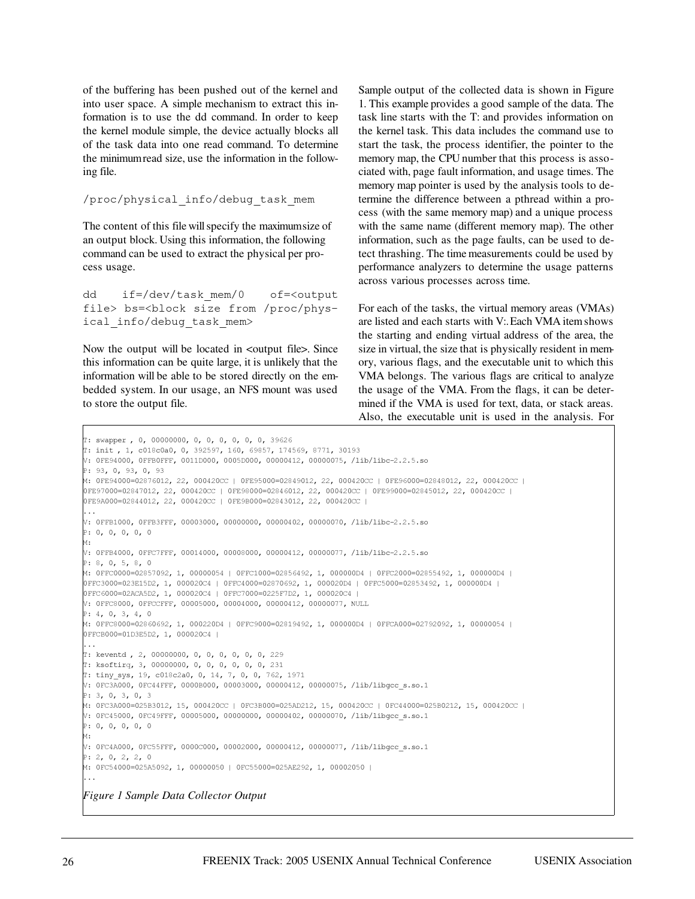of the buffering has been pushed out of the kernel and into user space. A simple mechanism to extract this information is to use the dd command. In order to keep the kernel module simple, the device actually blocks all of the task data into one read command. To determine the minimumread size, use the information in the following file.

/proc/physical\_info/debug\_task\_mem

The content of this file will specify the maximumsize of an output block. Using this information, the following command can be used to extract the physical per process usage.

dd if=/dev/task mem/0 of=<output file> bs=<block size from /proc/physical\_info/debug\_task\_mem>

Now the output will be located in <output file>. Since this information can be quite large, it is unlikely that the information will be able to be stored directly on the embedded system. In our usage, an NFS mount was used to store the output file.

Sample output of the collected data is shown in Figure 1. This example provides a good sample of the data. The task line starts with the T: and provides information on the kernel task. This data includes the command use to start the task, the process identifier, the pointer to the memory map, the CPU number that this process is associated with, page fault information, and usage times. The memory map pointer is used by the analysis tools to determine the difference between a pthread within a process (with the same memory map) and a unique process with the same name (different memory map). The other information, such as the page faults, can be used to detect thrashing. The time measurements could be used by performance analyzers to determine the usage patterns across various processes across time.

For each of the tasks, the virtual memory areas (VMAs) are listed and each starts with V:.Each VMA item shows the starting and ending virtual address of the area, the size in virtual, the size that is physically resident in memory, various flags, and the executable unit to which this VMA belongs. The various flags are critical to analyze the usage of the VMA. From the flags, it can be determined if the VMA is used for text, data, or stack areas. Also, the executable unit is used in the analysis. For

```
T: swapper , 0, 00000000, 0, 0, 0, 0, 0, 0, 39626

V: 0FE94000, 0FFB0FFF, 0011D000, 0005D000, 00000412, 00000075, /lib/libc-2.2.5.so
P: 93, 0, 93, 0, 93
M: 0FE94000=02876012, 22, 000420CC | 0FE95000=02849012, 22, 000420CC | 0FE96000=02848012, 22, 000420CC |
0FE97000=02847012, 22, 000420CC | 0FE98000=02846012, 22, 000420CC | 0FE99000=02845012, 22, 000420CC |
0FE9A000=02844012, 22, 000420CC | 0FE9B000=02843012, 22, 000420CC |
\ldotsV: OFFB1000, OFFB3FFF, 00003000, 00000000, 00000402, 00000070, /lib/libc-2.2.5.so
P: 0, 0, 0, 0, 0M:
V: OFFB4000, OFFC7FFF, 00014000, 00008000, 00000412, 00000077, /lib/libc-2.2.5.so
P: 8, 0, 5, 8, 0M: 0FFC0000=02857092, 1, 00000054 | 0FFC1000=02856492, 1, 000000D4 | 0FFC2000=02855492, 1, 000000D4 |
0FFC3000=023E15D2, 1, 000020C4 | 0FFC4000=02870692, 1, 000020D4 | 0FFC5000=02853492, 1, 000000D4 |
0FFC6000=02ACA5D2, 1, 000020C4 | 0FFC7000=0225F7D2, 1, 000020C4 |
V: 0FFC8000, 0FFCCFFF, 00005000, 00004000, 00000412, 00000077, NULL
P: 4, 0, 3, 4, 0M: 0FFC8000=02860692, 1, 000220D4 | 0FFC9000=02819492, 1, 000000D4 | 0FFCA000=02792092, 1, 00000054 |
0FFCB000=01D3E5D2, 1, 000020C4 |
\ldotsT: keventd , 2, 00000000, 0, 0, 0, 0, 0, 0, 229
T: ksoftirq, 3, 00000000, 0, 0, 0, 0, 0, 0, 231
T: tiny_sys, 19, c018c2a0, 0, 14, 7, 0, 0, 762, 1971
V: 0FC3A000, 0FC44FFF, 0000B000, 00003000, 00000412, 00000075, /lib/libgcc s.so.1
P: 3, 0, 3, 0, 3M: 0FC3A000=025B3012, 15, 000420CC | 0FC3B000=025AD212, 15, 000420CC | 0FC44000=025B0212, 15, 000420CC |
V: 0FC45000, 0FC49FFF, 00005000, 00000000, 00000402, 00000070, /lib/libgcc s.so.1
P: 0, 0, 0, 0, 0M:
V: OFC4A000, OFC55FFF, 0000C000, 00002000, 00000412, 00000077, /lib/libgcc s.so.1
P: 2, 0, 2, 2, 0M: 0FC54000=025A5092, 1, 00000050 | 0FC55000=025AE292, 1, 00002050 |
\ldotsFigure 1 Sample Data Collector Output
```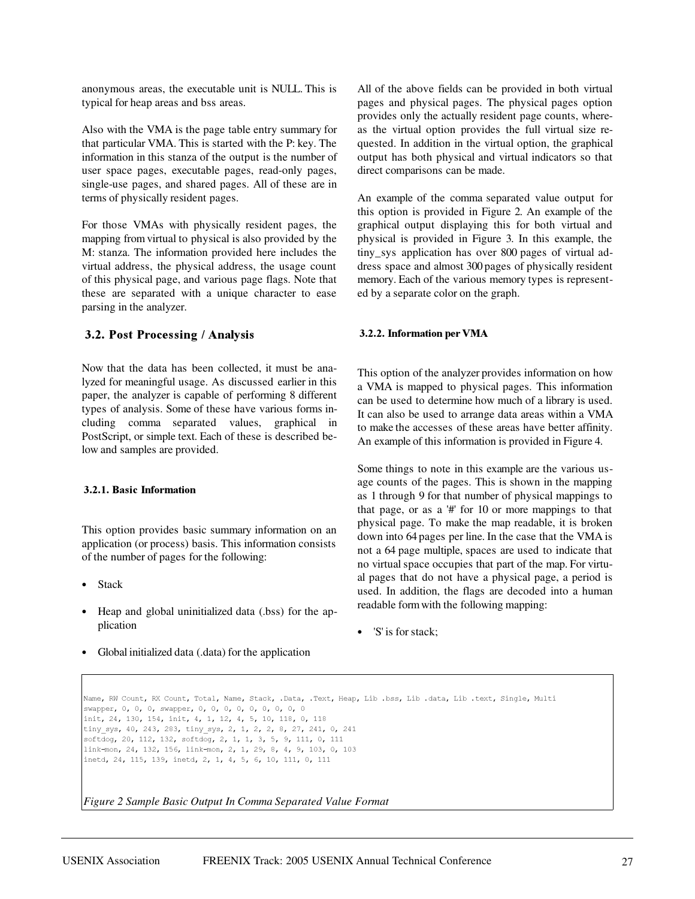anonymous areas, the executable unit is NULL. This is typical for heap areas and bss areas.

Also with the VMA is the page table entry summary for that particular VMA. This is started with the P: key. The information in this stanza of the output is the number of user space pages, executable pages, read-only pages, single-use pages, and shared pages. All of these are in terms of physically resident pages.

For those VMAs with physically resident pages, the mapping from virtual to physical is also provided by the M: stanza. The information provided here includes the virtual address, the physical address, the usage count of this physical page, and various page flags. Note that these are separated with a unique character to ease parsing in the analyzer.

## **3.2. Post Processing / Analysis**

Now that the data has been collected, it must be analyzed for meaningful usage. As discussed earlier in this paper, the analyzer is capable of performing 8 different types of analysis. Some of these have various forms including comma separated values, graphical in PostScript, or simple text. Each of these is described below and samples are provided.

#### **3.2.1. Basic Information**

This option provides basic summary information on an application (or process) basis. This information consists of the number of pages for the following:

- Stack
- Heap and global uninitialized data (.bss) for the application
- Global initialized data (.data) for the application

All of the above fields can be provided in both virtual pages and physical pages. The physical pages option provides only the actually resident page counts, whereas the virtual option provides the full virtual size requested. In addition in the virtual option, the graphical output has both physical and virtual indicators so that direct comparisons can be made.

An example of the comma separated value output for this option is provided in Figure 2. An example of the graphical output displaying this for both virtual and physical is provided in Figure 3. In this example, the tiny\_sys application has over 800 pages of virtual address space and almost 300 pages of physically resident memory. Each of the various memory types is represented by a separate color on the graph.

#### 3.2.2. Information per VMA

This option of the analyzer provides information on how a VMA is mapped to physical pages. This information can be used to determine how much of a library is used. It can also be used to arrange data areas within a VMA to make the accesses of these areas have better affinity. An example of this information is provided in Figure 4.

Some things to note in this example are the various usage counts of the pages. This is shown in the mapping as 1 through 9 for that number of physical mappings to that page, or as a  $#$  for 10 or more mappings to that physical page. To make the map readable, it is broken down into 64 pages per line. In the case that the VMA is not a 64 page multiple, spaces are used to indicate that no virtual space occupies that part of the map. For virtual pages that do not have a physical page, a period is used. In addition, the flags are decoded into a human readable form with the following mapping:

'S' is for stack;

Name, RW Count, RX Count, Total, Name, Stack, .Data, .Text, Heap, Lib .bss, Lib .data, Lib .text, Single, Multi swapper, 0, 0, swapper, 0, 0, 0, 0, 0, 0, 0, 0, 0 init, 24, 130, 154, init, 4, 1, 12, 4, 5, 10, 118, 0, 118 tiny\_sys, 40, 243, 283, tiny\_sys, 2, 1, 2, 2, 8, 27, 241, 0, 241 softdog, 20, 112, 132, softdog, 2, 1, 1, 3, 5, 9, 111, 0, 111 link-mon, 24, 132, 156, link-mon, 2, 1, 29, 8, 4, 9, 103, 0, 103 inetd, 24, 115, 139, inetd, 2, 1, 4, 5, 6, 10, 111, 0, 111

*Figure 2 Sample Basic Output In Comma Separated Value Format*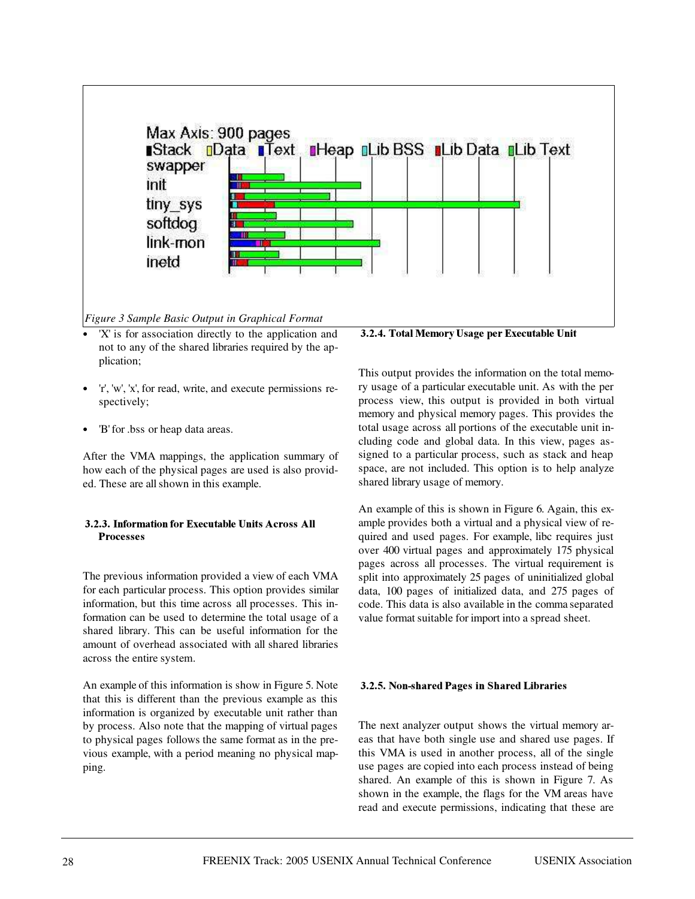

- 'X' is for association directly to the application and not to any of the shared libraries required by the application;
- 'r', 'w', 'x', for read, write, and execute permissions respectively;
- 'B' for .bss or heap data areas.

After the VMA mappings, the application summary of how each of the physical pages are used is also provided. These are all shown in this example.

## 3.2.3. Information for Executable Units Across All **Processes**

The previous information provided a view of each VMA for each particular process. This option provides similar information, but this time across all processes. This information can be used to determine the total usage of a shared library. This can be useful information for the amount of overhead associated with all shared libraries across the entire system.

An example of this information is show in Figure 5. Note that this is different than the previous example as this information is organized by executable unit rather than by process. Also note that the mapping of virtual pages to physical pages follows the same format as in the previous example, with a period meaning no physical mapping.

**3.2.4. Total Memory Usage per Executable Unit** 

This output provides the information on the total memory usage of a particular executable unit. As with the per process view, this output is provided in both virtual memory and physical memory pages. This provides the total usage across all portions of the executable unit including code and global data. In this view, pages assigned to a particular process, such as stack and heap space, are not included. This option is to help analyze shared library usage of memory.

An example of this is shown in Figure 6. Again, this example provides both a virtual and a physical view of required and used pages. For example, libc requires just over 400 virtual pages and approximately 175 physical pages across all processes. The virtual requirement is split into approximately 25 pages of uninitialized global data, 100 pages of initialized data, and 275 pages of code. This data is also available in the comma separated value format suitable for import into a spread sheet.

## 3.2.5. Non-shared Pages in Shared Libraries

The next analyzer output shows the virtual memory areas that have both single use and shared use pages. If this VMA is used in another process, all of the single use pages are copied into each process instead of being shared. An example of this is shown in Figure 7. As shown in the example, the flags for the VM areas have read and execute permissions, indicating that these are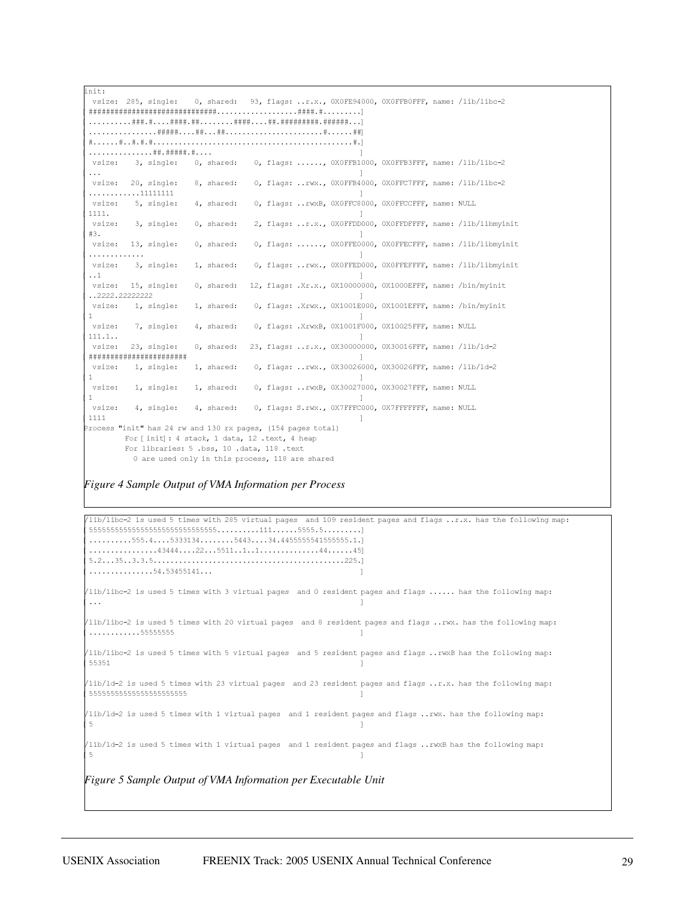init: vsize: 285, single: gle: 0, shared: 93, flags: ..r.x., 0X0FE94000, 0X0FFB0FFF, name: /lib/libc-2 ABBBBBBBBBBBBBBBBBBBBBBBBBBBBBBBBBBBC ABBBBBBBBBBBBBBBBBBBBBBBBBBBBBBBC ABBBBBBBBBBBBC ABBBBBBC  $\ldots$ ...........##.#####.#.... vsize: 3, single: 0, shared: 0, flags: ......, OXOFFB1000, OXOFFB3FFF, name: /lib/libc-2  $[... \t 1$ vsize: 20, single: 8, shared: 0, flags: ..rwx., OXOFFB4000, OXOFFC7FFF, name: /lib/libc-2  $\ldots \ldots \ldots \ldots 111111111$ vsize: 5, single: 4, shared: ed: 0, flags: ..rwxB, OXOFFC8000, OXOFFCCFFF, name: NULL  $[1111.$   $]$ vsize: 3, single: 0, shar ed: 2, flags: ..r.x., OXOFFDD000, OXOFFDFFFF, name: /lib/libmyinit  $\left[ \begin{array}{ccc} \#3 \end{array} \right]$ vsize: 13, single: 0, shar ed: 0, flags: ....., OXOFFE0000, OXOFFECFFF, name: /lib/libmyinit  $\blacksquare$ vsize: 3, single: 1, shar ed: 0, flags: ..rwx., OXOFFED000, OXOFFEFFFF, name: /lib/libmyinit  $[ \ldots 1$  and  $]$ vsize: 15, single: 0, shar ed: 12, flags: .Xr.x., 0X10000000, 0X1000EFFF, name: /bin/myinit A'''''''''''' C vsize: 1, single: 1, shar ed: 0, flags: .Xrwx., 0X1001E000, 0X1001EFFF, name: /bin/myinit  $\begin{bmatrix} 1 & 0 \end{bmatrix}$ vsize: 7, single: 4, shar ed: 0, flags: .XrwxB, 0X1001F000, 0X10025FFF, name: NULL  $[111.1..]$ vsize: 23, single: 0, shar ed: 23, flags: ..r.x., 0X30000000, 0X30016FFF, name: /lib/ld-2  $\begin{smallmatrix} \end{smallmatrix} \begin{smallmatrix} \end{smallmatrix} \begin{smallmatrix} \end{smallmatrix} \begin{smallmatrix} \end{smallmatrix} \begin{smallmatrix} \end{smallmatrix} \begin{smallmatrix} \end{smallmatrix} \begin{smallmatrix} \end{smallmatrix} \begin{smallmatrix} \end{smallmatrix} \begin{smallmatrix} \end{smallmatrix} \begin{smallmatrix} \end{smallmatrix} \begin{smallmatrix} \end{smallmatrix} \begin{smallmatrix} \end{smallmatrix} \begin{smallmatrix} \end{smallmatrix} \begin{smallmatrix} \end{smallmatrix} \begin{smallmatrix} \end{smallmatrix} \begin{smallmatrix} \end{smallmatrix} \begin{smallmatrix} \end{smallmatrix} \end{smallmatrix} \begin{smallmatrix} \end{small$ vsize: 1, single: 1, shar ed: 0, flags: ..rwx., 0X30026000, 0X30026FFF, name: /lib/ld-2  $\begin{bmatrix} 1 & 0 \end{bmatrix}$ vsize: 1, single: 1, shared: 0, flags: ..rwxB, 0X30027000, 0X30027FFF, name: NULL  $\begin{bmatrix} 1 & 0 \end{bmatrix}$ vsize: 4, single: gle: 4, shared: 0, flags: S.rwx., OX7FFFC000, OX7FFFFFFFF, name: NULL  $[1111$   $]$ Process "init" has 24 rw and 130 rx pages, (154 pages total) For [init]: 4 stack, 1 data, 12 .text, 4 heap For libraries: 5 .bss, 10 .data, 118 .text 0 are used only in this process, 118 are shared

#### *Figure 4 Sample Output of VMA Information per Process*

/lib/libc-2 is used 5 times with 285 virtual pages and 109 resident pages and flags ..r.x. has the following map: A\*\*\*\*\*\*\*\*\*\*\*\*\*\*\*\*\*\*\*\*\*\*\*\*\*\*\*\*\*\*(((\*\*\*\*\*C  $\dots\dots\dots\dots555.4\dots5333134\dots\dots5443\dots34.4455555541555555.1.$  $\ldots, \ldots, 43444 \ldots, 22 \ldots 5511 \ldots 1 \ldots, \ldots, \ldots, 44 \ldots, 45$ A\*'\$\*\$\$\*''\*C  $\dots\dots\dots\dots\dots 54.53455141\dots$  $\frac{\text{lib} \times 1}{\text{lib} - 2}$  is used 5 times with 3 virtual pages and 0 resident pages and flags ...... has the following map:  $[... \t 1$ lib/libc-2 is used 5 times with 20 virtual pages and 8 resident pages and flags ..rwx. has the following map:  $\ldots \ldots \ldots \ldots 555555555$ lib/libc-2 is used 5 times with 5 virtual pages and 5 resident pages and flags ..rwxB has the following map:  $[55351$  and  $]$ /lib/ld-2 is used 5 times with 23 virtual pages  $\alpha$  and 23 resident pages and flags ..r.x. has the following map: 555555555555555555555555 /lib/ld-2 is used 5 times with 1 virtual pages  $\alpha$  and 1 resident pages and flags ..rwx. has the following map:  $\begin{bmatrix} 5 \end{bmatrix}$ /lib/ld-2 is used 5 times with 1 virtual pages  $\alpha$  and 1 resident pages and flags ..rwxB has the following map:  $\begin{bmatrix} 5 \end{bmatrix}$ *Figure 5 Sample Output of VMA Information per Executable Unit*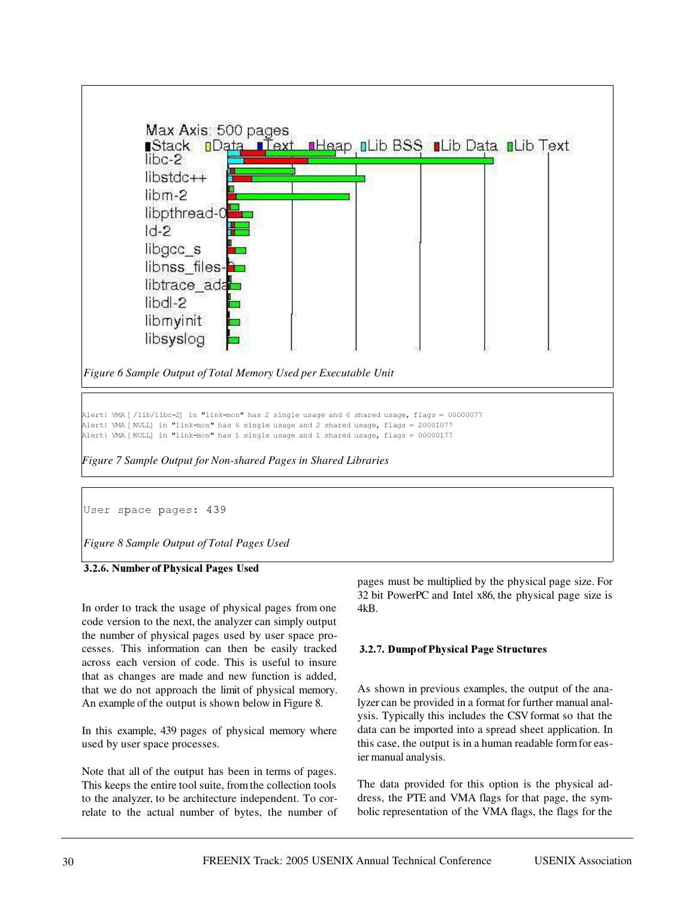

User space pages: 439

*Figure 8 Sample Output of Total Pages Used*

## 3.2.6. Number of Physical Pages Used

In order to track the usage of physical pages from one code version to the next, the analyzer can simply output the number of physical pages used by user space processes. This information can then be easily tracked across each version of code. This is useful to insure that as changes are made and new function is added, that we do not approach the limit of physical memory. An example of the output is shown below in Figure 8.

In this example, 439 pages of physical memory where used by user space processes.

Note that all of the output has been in terms of pages. This keeps the entire tool suite, from the collection tools to the analyzer, to be architecture independent. To correlate to the actual number of bytes, the number of pages must be multiplied by the physical page size. For 32 bit PowerPC and Intel x86, the physical page size is 4kB.

#### 3.2.7. Dump of Physical Page Structures

As shown in previous examples, the output of the analyzer can be provided in a format for further manual analysis. Typically this includes the CSV format so that the data can be imported into a spread sheet application. In this case, the output is in a human readable formfor easier manual analysis.

The data provided for this option is the physical address, the PTE and VMA flags for that page, the symbolic representation of the VMA flags, the flags for the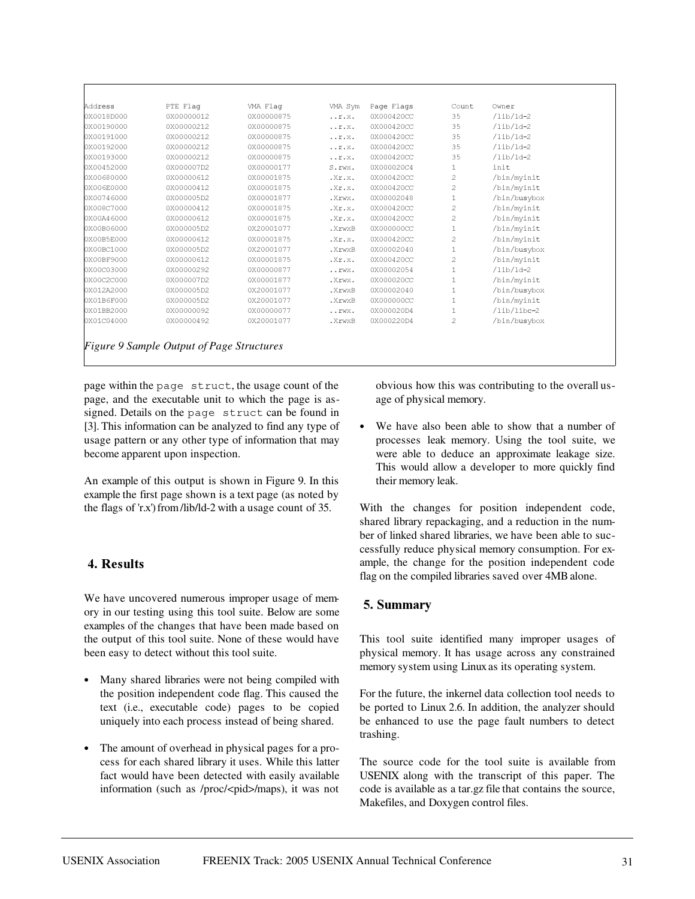| Address    | PTE Flag   | VMA Flaq   | VMA Sym                            | Page Flags | Count          | Owner        |
|------------|------------|------------|------------------------------------|------------|----------------|--------------|
| 0X0018D000 | 0X00000012 | 0X00000875 | $\ldots r.x.$                      | 0X000420CC | 35             | $/lib/ld-2$  |
| 0X00190000 | 0X00000212 | 0X00000875 | $\ldots$ $r$ $\ldots$ $x$ $\ldots$ | 0X000420CC | 35             | $/lib/ld-2$  |
| 0X00191000 | 0X00000212 | 0X00000875 | $\ldots r$ . $X$ .                 | 0X000420CC | 35             | $/lib/ld-2$  |
| 0X00192000 | 0X00000212 | 0X00000875 | $\ldots r$ . $X$ .                 | 0X000420CC | 35             | $/lib/ld-2$  |
| 0X00193000 | 0X00000212 | 0X00000875 | $\ldots r$ . $X$ .                 | 0X000420CC | 35             | $/lib/ld-2$  |
| 0X00452000 | 0X000007D2 | 0X00000177 | S.rwx.                             | 0X000020C4 | 1              | init         |
| 0X00680000 | 0X00000612 | 0X00001875 | . <b>x.</b>                        | 0X000420CC | 2              | /bin/myinit  |
| 0X006E0000 | 0X00000412 | 0X00001875 | . <b>x.</b>                        | 0X000420CC | $\overline{2}$ | /bin/myinit  |
| 0X00746000 | 0X000005D2 | 0X00001877 | .Xrwx.                             | 0X00002048 | 1              | /bin/busybox |
| 0X008C7000 | 0X00000412 | 0X00001875 | . <b>x.</b>                        | 0X000420CC | 2              | /bin/myinit  |
| 0X00A46000 | 0X00000612 | 0X00001875 | .Xr.x.                             | 0X000420CC | 2              | /bin/myinit  |
| 0X00B06000 | 0X000005D2 | 0X20001077 | .XrwxB                             | 0X000000CC | $\mathbf{1}$   | /bin/myinit  |
| 0X00B5E000 | 0X00000612 | 0X00001875 | . <b>x.</b>                        | 0X000420CC | 2              | /bin/myinit  |
| 0X00BC1000 | 0X000005D2 | 0X20001077 | .XrwxB                             | 0X00002040 | $\mathbf{1}$   | /bin/busybox |
| 0X00BF9000 | 0X00000612 | 0X00001875 | . <b>x.</b>                        | 0X000420CC | 2              | /bin/myinit  |
| 0X00C03000 | 0X00000292 | 0X00000877 | $\ldots$ $\texttt{LWX}$ .          | 0X00002054 | $\mathbf 1$    | $/lib/ld-2$  |
| 0X00C2C000 | 0X000007D2 | 0X00001877 | .Xrwx.                             | 0X000020CC | $\mathbf{1}$   | /bin/myinit  |
| 0X012A2000 | 0X000005D2 | 0X20001077 | .XrwxB                             | 0X00002040 | $\mathbf{1}$   | /bin/busybox |
| 0X01B6F000 | 0X000005D2 | 0X20001077 | .XrwxB                             | 0X000000CC | 1              | /bin/myinit  |
| 0X01BB2000 | 0X00000092 | 0X00000077 | $\ldots$ $\texttt{LWX}$ .          | 0X000020D4 | 1              | /lib/libc-2  |
| 0X01C04000 | 0X00000492 | 0X20001077 | .XrwxB                             | 0X000220D4 | 2              | /bin/busybox |

 $_{\rm page}$  within the  $_{\rm page}$   $_{\rm structure}$  , the usage count of the page, and the executable unit to which the page is assigned. Details on the page struct can be found in [3]. This information can be analyzed to find any type of usage pattern or any other type of information that may become apparent upon inspection.

An example of this output is shown in Figure 9. In this example the first page shown is a text page (as noted by the flags of 'r.x')from /lib/ld-2 with a usage count of 35.

# **( 1**

We have uncovered numerous improper usage of memory in our testing using this tool suite. Below are some examples of the changes that have been made based on the output of this tool suite. None of these would have been easy to detect without this tool suite.

- Many shared libraries were not being compiled with the position independent code flag. This caused the text (i.e., executable code) pages to be copied uniquely into each process instead of being shared.
- The amount of overhead in physical pages for a process for each shared library it uses. While this latter fact would have been detected with easily available information (such as /proc/<pid>/maps), it was not

obvious how this was contributing to the overall usage of physical memory.

 We have also been able to show that a number of processes leak memory. Using the tool suite, we were able to deduce an approximate leakage size. This would allow a developer to more quickly find their memory leak.

With the changes for position independent code, shared library repackaging, and a reduction in the number of linked shared libraries, we have been able to successfully reduce physical memory consumption. For example, the change for the position independent code flag on the compiled libraries saved over 4MB alone.

# 5. Summary

This tool suite identified many improper usages of physical memory. It has usage across any constrained memory system using Linuxas its operating system.

For the future, the inkernel data collection tool needs to be ported to Linux 2.6. In addition, the analyzer should be enhanced to use the page fault numbers to detect trashing.

The source code for the tool suite is available from USENIX along with the transcript of this paper. The code is available as a tar.gz file that contains the source, Makefiles, and Doxygen control files.